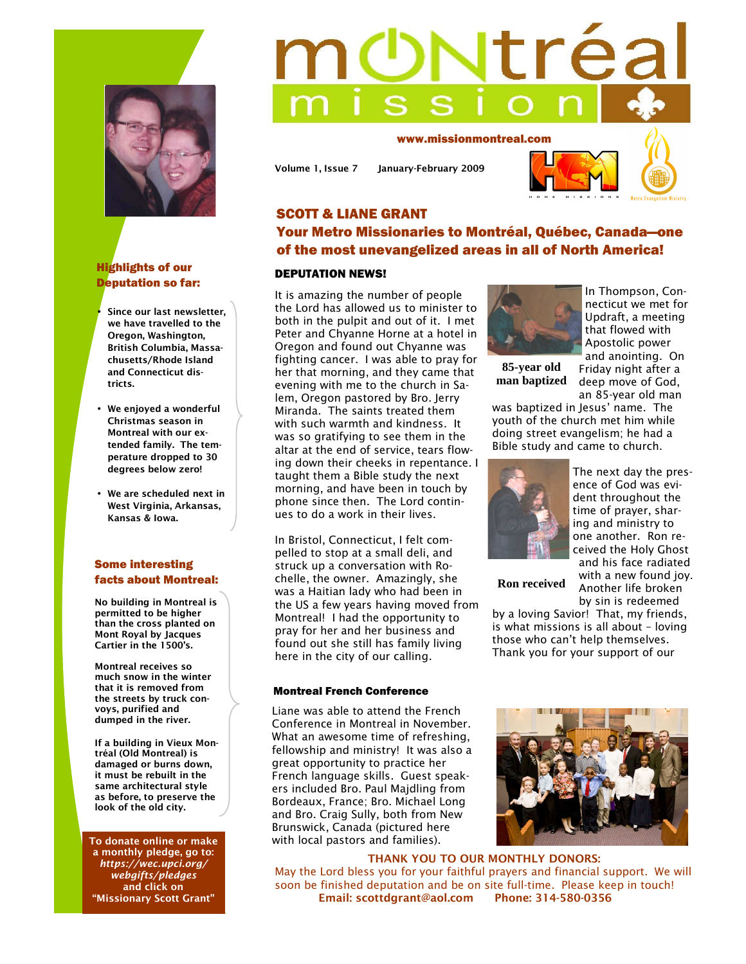

# Highlights of our Deputation so far:

• **Since our last newsletter, we have travelled to the Oregon, Washington, British Columbia, Massachusetts/Rhode Island and Connecticut districts.** 

- **We enjoyed a wonderful Christmas season in Montreal with our extended family. The temperature dropped to 30 degrees below zero!**
- **We are scheduled next in West Virginia, Arkansas, Kansas & Iowa.**

# Some interesting facts about Montreal:

**No building in Montreal is permitted to be higher than the cross planted on Mont Royal by Jacques Cartier in the 1500's.** 

**Montreal receives so much snow in the winter that it is removed from the streets by truck convoys, purified and dumped in the river.** 

**If a building in Vieux Montréal (Old Montreal) is damaged or burns down, it must be rebuilt in the same architectural style as before, to preserve the look of the old city.** 

**To donate online or make a monthly pledge, go to:**  *https://wec.upci.org/ webgifts/pledges* **and click on "Missionary Scott Grant"** 

# tréa

www.missionmontreal.com

**Volume 1, Issue 7 January-February 2009** 



# SCOTT & LIANE GRANT Your Metro Missionaries to Montréal, Québec, Canada—one of the most unevangelized areas in all of North America!

## DEPUTATION NEWS!

It is amazing the number of people the Lord has allowed us to minister to both in the pulpit and out of it. I met Peter and Chyanne Horne at a hotel in Oregon and found out Chyanne was fighting cancer. I was able to pray for her that morning, and they came that evening with me to the church in Salem, Oregon pastored by Bro. Jerry Miranda. The saints treated them with such warmth and kindness. It was so gratifying to see them in the altar at the end of service, tears flowing down their cheeks in repentance. I taught them a Bible study the next morning, and have been in touch by phone since then. The Lord continues to do a work in their lives.

In Bristol, Connecticut, I felt compelled to stop at a small deli, and struck up a conversation with Rochelle, the owner. Amazingly, she was a Haitian lady who had been in the US a few years having moved from Montreal! I had the opportunity to pray for her and her business and found out she still has family living here in the city of our calling.

### Montreal French Conference

Liane was able to attend the French Conference in Montreal in November. What an awesome time of refreshing, fellowship and ministry! It was also a great opportunity to practice her French language skills. Guest speakers included Bro. Paul Majdling from Bordeaux, France; Bro. Michael Long and Bro. Craig Sully, both from New Brunswick, Canada (pictured here with local pastors and families).



**85-year old man baptized** 

In Thompson, Connecticut we met for Updraft, a meeting that flowed with Apostolic power and anointing. On Friday night after a deep move of God,

an 85-year old man

was baptized in Jesus' name. The youth of the church met him while doing street evangelism; he had a Bible study and came to church.



The next day the presence of God was evident throughout the time of prayer, sharing and ministry to one another. Ron received the Holy Ghost and his face radiated with a new found joy. Another life broken by sin is redeemed

**Ron received** 

by a loving Savior! That, my friends, is what missions is all about – loving those who can't help themselves. Thank you for your support of our



**THANK YOU TO OUR MONTHLY DONORS:**  May the Lord bless you for your faithful prayers and financial support. We will soon be finished deputation and be on site full-time. Please keep in touch! **Email: scottdgrant@aol.com Phone: 314-580-0356**